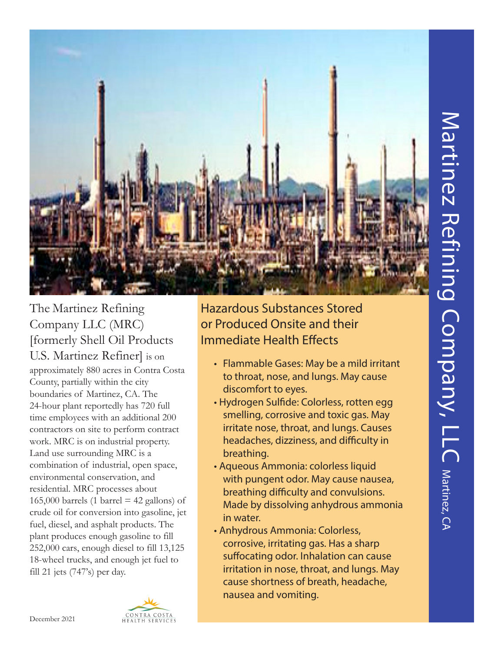

The Martinez Refining Company LLC (MRC) [formerly Shell Oil Products U.S. Martinez Refiner] is on approximately 880 acres in Contra Costa County, partially within the city boundaries of Martinez, CA. The 24-hour plant reportedly has 720 full time employees with an additional 200 contractors on site to perform contract work. MRC is on industrial property. Land use surrounding MRC is a combination of industrial, open space, environmental conservation, and residential. MRC processes about 165,000 barrels (1 barrel  $=$  42 gallons) of crude oil for conversion into gasoline, jet fuel, diesel, and asphalt products. The plant produces enough gasoline to fill 252,000 cars, enough diesel to fill 13,125 18-wheel trucks, and enough jet fuel to fill 21 jets (747's) per day.

Hazardous Substances Stored or Produced Onsite and their Immediate Health Effects

- Flammable Gases: May be a mild irritant to throat, nose, and lungs. May cause discomfort to eyes.
- Hydrogen Sulfide: Colorless, rotten egg smelling, corrosive and toxic gas. May irritate nose, throat, and lungs. Causes headaches, dizziness, and difficulty in breathing.
- Aqueous Ammonia: colorless liquid with pungent odor. May cause nausea, breathing difficulty and convulsions. Made by dissolving anhydrous ammonia in water.
- Anhydrous Ammonia: Colorless, corrosive, irritating gas. Has a sharp suffocating odor. Inhalation can cause irritation in nose, throat, and lungs. May cause shortness of breath, headache, nausea and vomiting.